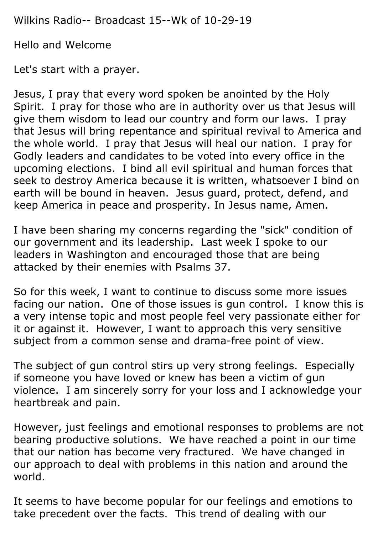Wilkins Radio-- Broadcast 15--Wk of 10-29-19

Hello and Welcome

Let's start with a prayer.

Jesus, I pray that every word spoken be anointed by the Holy Spirit. I pray for those who are in authority over us that Jesus will give them wisdom to lead our country and form our laws. I pray that Jesus will bring repentance and spiritual revival to America and the whole world. I pray that Jesus will heal our nation. I pray for Godly leaders and candidates to be voted into every office in the upcoming elections. I bind all evil spiritual and human forces that seek to destroy America because it is written, whatsoever I bind on earth will be bound in heaven. Jesus guard, protect, defend, and keep America in peace and prosperity. In Jesus name, Amen.

I have been sharing my concerns regarding the "sick" condition of our government and its leadership. Last week I spoke to our leaders in Washington and encouraged those that are being attacked by their enemies with Psalms 37.

So for this week, I want to continue to discuss some more issues facing our nation. One of those issues is gun control. I know this is a very intense topic and most people feel very passionate either for it or against it. However, I want to approach this very sensitive subject from a common sense and drama-free point of view.

The subject of gun control stirs up very strong feelings. Especially if someone you have loved or knew has been a victim of gun violence. I am sincerely sorry for your loss and I acknowledge your heartbreak and pain.

However, just feelings and emotional responses to problems are not bearing productive solutions. We have reached a point in our time that our nation has become very fractured. We have changed in our approach to deal with problems in this nation and around the world.

It seems to have become popular for our feelings and emotions to take precedent over the facts. This trend of dealing with our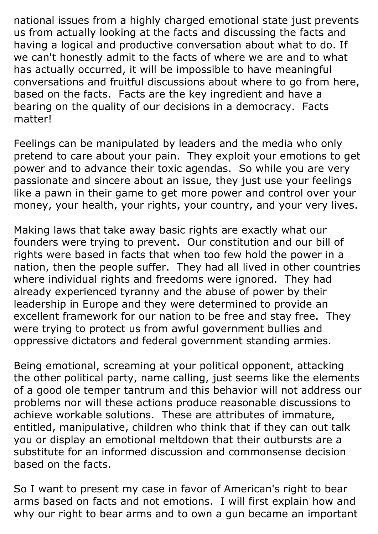national issues from a highly charged emotional state just prevents us from actually looking at the facts and discussing the facts and having a logical and productive conversation about what to do. If we can't honestly admit to the facts of where we are and to what has actually occurred, it will be impossible to have meaningful conversations and fruitful discussions about where to go from here, based on the facts. Facts are the key ingredient and have a bearing on the quality of our decisions in a democracy. Facts matter!

Feelings can be manipulated by leaders and the media who only pretend to care about your pain. They exploit your emotions to get power and to advance their toxic agendas. So while you are very passionate and sincere about an issue, they just use your feelings like a pawn in their game to get more power and control over your money, your health, your rights, your country, and your very lives.

Making laws that take away basic rights are exactly what our founders were trying to prevent. Our constitution and our bill of rights were based in facts that when too few hold the power in a nation, then the people suffer. They had all lived in other countries where individual rights and freedoms were ignored. They had already experienced tyranny and the abuse of power by their leadership in Europe and they were determined to provide an excellent framework for our nation to be free and stay free. They were trying to protect us from awful government bullies and oppressive dictators and federal government standing armies.

Being emotional, screaming at your political opponent, attacking the other political party, name calling, just seems like the elements of a good ole temper tantrum and this behavior will not address our problems nor will these actions produce reasonable discussions to achieve workable solutions. These are attributes of immature, entitled, manipulative, children who think that if they can out talk you or display an emotional meltdown that their outbursts are a substitute for an informed discussion and commonsense decision based on the facts.

So I want to present my case in favor of American's right to bear arms based on facts and not emotions. I will first explain how and why our right to bear arms and to own a gun became an important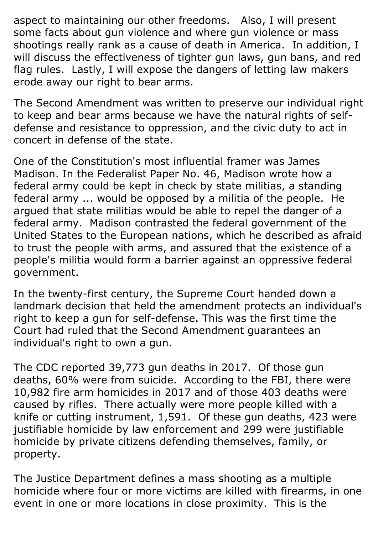aspect to maintaining our other freedoms. Also, I will present some facts about gun violence and where gun violence or mass shootings really rank as a cause of death in America. In addition, I will discuss the effectiveness of tighter gun laws, gun bans, and red flag rules. Lastly, I will expose the dangers of letting law makers erode away our right to bear arms.

The Second Amendment was written to preserve our individual right to keep and bear arms because we have the natural rights of selfdefense and resistance to oppression, and the civic duty to act in concert in defense of the state.

One of the Constitution's most influential framer was [James](https://en.wikipedia.org/wiki/James_Madison)  [Madison.](https://en.wikipedia.org/wiki/James_Madison) In the [Federalist Paper No. 46,](https://en.wikipedia.org/wiki/Federalist_No._46) Madison wrote how a federal army could be kept in check by state militias, a standing federal army ... would be opposed by a militia of the people. He argued that state militias would be able to repel the danger of a federal army. Madison contrasted the federal government of the United States to the European nations, which he described as afraid to trust the people with arms, and assured that the existence of a people's militia would form a barrier against an oppressive federal government.

In the twenty-first century, the Supreme Court handed down a landmark decision that held the amendment protects an individual's right to keep a gun for self-defense. This was the first time the Court had ruled that the Second Amendment guarantees an individual's right to own a gun.

The CDC reported 39,773 gun deaths in 2017. Of those gun deaths, 60% were from suicide. According to the FBI, there were 10,982 fire arm homicides in 2017 and of those 403 deaths were caused by rifles. There actually were more people killed with a knife or cutting instrument, 1,591. Of these gun deaths, 423 were justifiable homicide by law enforcement and 299 were justifiable homicide by private citizens defending themselves, family, or property.

The Justice Department defines a mass shooting as a multiple homicide where four or more victims are killed with firearms, in one event in one or more locations in close proximity. This is the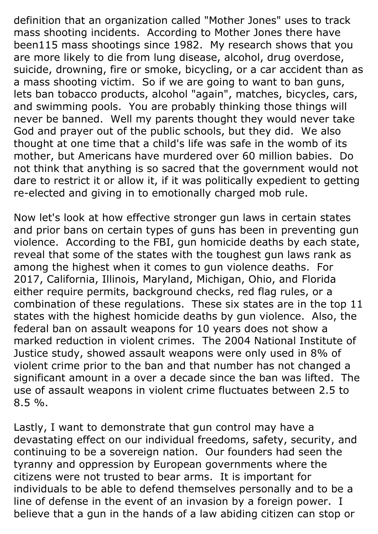definition that an organization called "Mother Jones" uses to track mass shooting incidents. According to Mother Jones there have been115 mass shootings since 1982. My research shows that you are more likely to die from lung disease, alcohol, drug overdose, suicide, drowning, fire or smoke, bicycling, or a car accident than as a mass shooting victim. So if we are going to want to ban guns, lets ban tobacco products, alcohol "again", matches, bicycles, cars, and swimming pools. You are probably thinking those things will never be banned. Well my parents thought they would never take God and prayer out of the public schools, but they did. We also thought at one time that a child's life was safe in the womb of its mother, but Americans have murdered over 60 million babies. Do not think that anything is so sacred that the government would not dare to restrict it or allow it, if it was politically expedient to getting re-elected and giving in to emotionally charged mob rule.

Now let's look at how effective stronger gun laws in certain states and prior bans on certain types of guns has been in preventing gun violence. According to the FBI, gun homicide deaths by each state, reveal that some of the states with the toughest gun laws rank as among the highest when it comes to gun violence deaths. For 2017, California, Illinois, Maryland, Michigan, Ohio, and Florida either require permits, background checks, red flag rules, or a combination of these regulations. These six states are in the top 11 states with the highest homicide deaths by gun violence. Also, the federal ban on assault weapons for 10 years does not show a marked reduction in violent crimes. The 2004 National Institute of Justice study, showed assault weapons were only used in 8% of violent crime prior to the ban and that number has not changed a significant amount in a over a decade since the ban was lifted. The use of assault weapons in violent crime fluctuates between 2.5 to 8.5 %.

Lastly, I want to demonstrate that gun control may have a devastating effect on our individual freedoms, safety, security, and continuing to be a sovereign nation. Our founders had seen the tyranny and oppression by European governments where the citizens were not trusted to bear arms. It is important for individuals to be able to defend themselves personally and to be a line of defense in the event of an invasion by a foreign power. I believe that a gun in the hands of a law abiding citizen can stop or